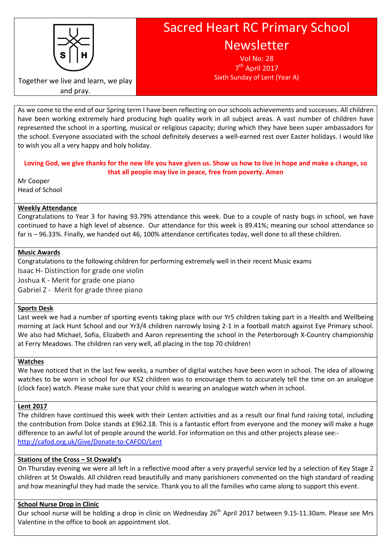

# Sacred Heart RC Primary School Newsletter

Vol No: 28 7<sup>th</sup> April 2017 Sixth Sunday of Lent (Year A)

Together we live and learn, we play and pray.

As we come to the end of our Spring term I have been reflecting on our schools achievements and successes. All children have been working extremely hard producing high quality work in all subject areas. A vast number of children have represented the school in a sporting, musical or religious capacity; during which they have been super ambassadors for the school. Everyone associated with the school definitely deserves a well-earned rest over Easter holidays. I would like to wish you all a very happy and holy holiday.

Loving God, we give thanks for the new life you have given us. Show us how to live in hope and make a change, so that all people may live in peace, free from poverty. Amen

Mr Cooper Head of School

## Weekly Attendance

Congratulations to Year 3 for having 93.79% attendance this week. Due to a couple of nasty bugs in school, we have continued to have a high level of absence. Our attendance for this week is 89.41%; meaning our school attendance so far is – 96.33%. Finally, we handed out 46, 100% attendance certificates today, well done to all these children.

## Music Awards

Congratulations to the following children for performing extremely well in their recent Music exams Isaac H- Distinction for grade one violin Joshua K - Merit for grade one piano

Gabriel Z - Merit for grade three piano

## Sports Desk

Last week we had a number of sporting events taking place with our Yr5 children taking part in a Health and Wellbeing morning at Jack Hunt School and our Yr3/4 children narrowly losing 2-1 in a football match against Eye Primary school. We also had Michael, Sofia, Elizabeth and Aaron representing the school in the Peterborough X-Country championship at Ferry Meadows. The children ran very well, all placing in the top 70 children!

## Watches

We have noticed that in the last few weeks, a number of digital watches have been worn in school. The idea of allowing watches to be worn in school for our KS2 children was to encourage them to accurately tell the time on an analogue (clock face) watch. Please make sure that your child is wearing an analogue watch when in school.

## Lent 2017

The children have continued this week with their Lenten activities and as a result our final fund raising total, including the contribution from Dolce stands at £962.18. This is a fantastic effort from everyone and the money will make a huge difference to an awful lot of people around the world. For information on this and other projects please see: http://cafod.org.uk/Give/Donate-to-CAFOD/Lent

# Stations of the Cross – St Oswald's

On Thursday evening we were all left in a reflective mood after a very prayerful service led by a selection of Key Stage 2 children at St Oswalds. All children read beautifully and many parishioners commented on the high standard of reading and how meaningful they had made the service. Thank you to all the families who came along to support this event.

# School Nurse Drop in Clinic

Our school nurse will be holding a drop in clinic on Wednesday 26<sup>th</sup> April 2017 between 9.15-11.30am. Please see Mrs Valentine in the office to book an appointment slot.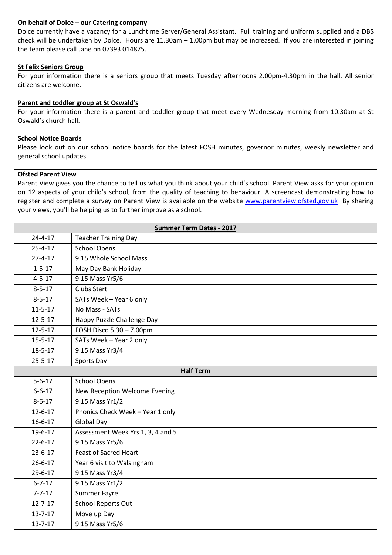#### On behalf of Dolce – our Catering company

Dolce currently have a vacancy for a Lunchtime Server/General Assistant. Full training and uniform supplied and a DBS check will be undertaken by Dolce. Hours are 11.30am – 1.00pm but may be increased. If you are interested in joining the team please call Jane on 07393 014875.

### St Felix Seniors Group

For your information there is a seniors group that meets Tuesday afternoons 2.00pm-4.30pm in the hall. All senior citizens are welcome.

## Parent and toddler group at St Oswald's

For your information there is a parent and toddler group that meet every Wednesday morning from 10.30am at St Oswald's church hall.

#### School Notice Boards

Please look out on our school notice boards for the latest FOSH minutes, governor minutes, weekly newsletter and general school updates.

#### Ofsted Parent View

Parent View gives you the chance to tell us what you think about your child's school. Parent View asks for your opinion on 12 aspects of your child's school, from the quality of teaching to behaviour. A screencast demonstrating how to register and complete a survey on Parent View is available on the website www.parentview.ofsted.gov.uk By sharing your views, you'll be helping us to further improve as a school.

| <b>Summer Term Dates - 2017</b> |                                   |
|---------------------------------|-----------------------------------|
| $24 - 4 - 17$                   | <b>Teacher Training Day</b>       |
| $25 - 4 - 17$                   | <b>School Opens</b>               |
| $27 - 4 - 17$                   | 9.15 Whole School Mass            |
| $1 - 5 - 17$                    | May Day Bank Holiday              |
| $4 - 5 - 17$                    | 9.15 Mass Yr5/6                   |
| $8 - 5 - 17$                    | Clubs Start                       |
| $8 - 5 - 17$                    | SATs Week - Year 6 only           |
| $11 - 5 - 17$                   | No Mass - SATs                    |
| $12 - 5 - 17$                   | Happy Puzzle Challenge Day        |
| $12 - 5 - 17$                   | FOSH Disco 5.30 - 7.00pm          |
| $15 - 5 - 17$                   | SATs Week - Year 2 only           |
| $18 - 5 - 17$                   | 9.15 Mass Yr3/4                   |
| $25 - 5 - 17$                   | Sports Day                        |
| <b>Half Term</b>                |                                   |
| $5 - 6 - 17$                    | <b>School Opens</b>               |
| $6 - 6 - 17$                    | New Reception Welcome Evening     |
| $8 - 6 - 17$                    | 9.15 Mass Yr1/2                   |
| $12 - 6 - 17$                   | Phonics Check Week - Year 1 only  |
| $16 - 6 - 17$                   | <b>Global Day</b>                 |
| $19 - 6 - 17$                   | Assessment Week Yrs 1, 3, 4 and 5 |
| $22 - 6 - 17$                   | 9.15 Mass Yr5/6                   |
| $23 - 6 - 17$                   | <b>Feast of Sacred Heart</b>      |
| $26 - 6 - 17$                   | Year 6 visit to Walsingham        |
| $29 - 6 - 17$                   | 9.15 Mass Yr3/4                   |
| $6 - 7 - 17$                    | 9.15 Mass Yr1/2                   |
| $7 - 7 - 17$                    | Summer Fayre                      |
| $12 - 7 - 17$                   | <b>School Reports Out</b>         |
| $13 - 7 - 17$                   | Move up Day                       |
| $13 - 7 - 17$                   | 9.15 Mass Yr5/6                   |